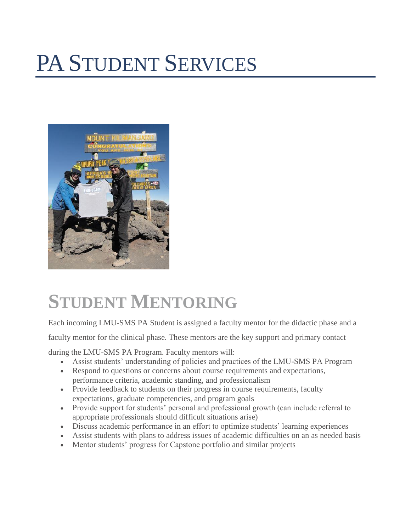# PA STUDENT SERVICES



### **STUDENT MENTORING**

Each incoming LMU-SMS PA Student is assigned a faculty mentor for the didactic phase and a

faculty mentor for the clinical phase. These mentors are the key support and primary contact

during the LMU-SMS PA Program. Faculty mentors will:

- Assist students' understanding of policies and practices of the LMU-SMS PA Program
- Respond to questions or concerns about course requirements and expectations, performance criteria, academic standing, and professionalism
- Provide feedback to students on their progress in course requirements, faculty expectations, graduate competencies, and program goals
- Provide support for students' personal and professional growth (can include referral to appropriate professionals should difficult situations arise)
- Discuss academic performance in an effort to optimize students' learning experiences
- Assist students with plans to address issues of academic difficulties on an as needed basis
- Mentor students' progress for Capstone portfolio and similar projects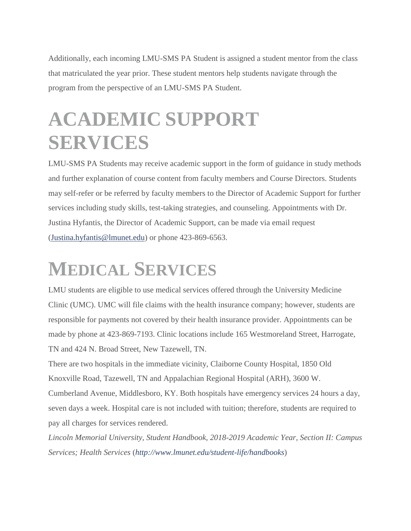Additionally, each incoming LMU-SMS PA Student is assigned a student mentor from the class that matriculated the year prior. These student mentors help students navigate through the program from the perspective of an LMU-SMS PA Student.

# **ACADEMIC SUPPORT SERVICES**

LMU-SMS PA Students may receive academic support in the form of guidance in study methods and further explanation of course content from faculty members and Course Directors. Students may self-refer or be referred by faculty members to the Director of Academic Support for further services including study skills, test-taking strategies, and counseling. Appointments with Dr. Justina Hyfantis, the Director of Academic Support, can be made via email request (Justina.hyfantis@lmunet.edu) or phone 423-869-6563.

# **MEDICAL SERVICES**

LMU students are eligible to use medical services offered through the University Medicine Clinic (UMC). UMC will file claims with the health insurance company; however, students are responsible for payments not covered by their health insurance provider. Appointments can be made by phone at 423-869-7193. Clinic locations include 165 Westmoreland Street, Harrogate, TN and 424 N. Broad Street, New Tazewell, TN.

There are two hospitals in the immediate vicinity, Claiborne County Hospital, 1850 Old Knoxville Road, Tazewell, TN and Appalachian Regional Hospital (ARH), 3600 W. Cumberland Avenue, Middlesboro, KY. Both hospitals have emergency services 24 hours a day, seven days a week. Hospital care is not included with tuition; therefore, students are required to pay all charges for services rendered.

*Lincoln Memorial University, Student Handbook, 2018-2019 Academic Year, Section II: Campus Services; Health Services* (*http://www.lmunet.edu/student-life/handbooks*)